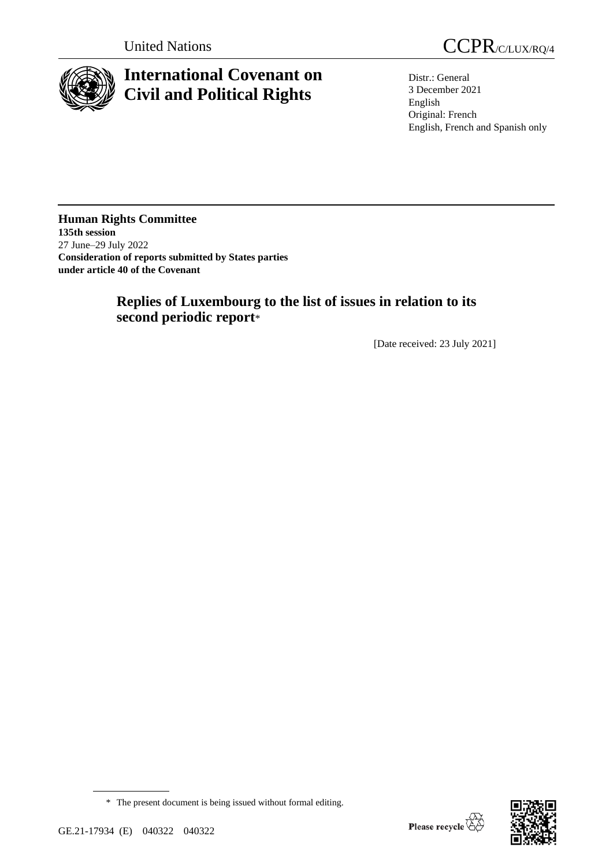

# **International Covenant on Civil and Political Rights**

United Nations CCPR/C/LUX/RQ/4

Distr.: General 3 December 2021 English Original: French English, French and Spanish only

## **Human Rights Committee 135th session** 27 June–29 July 2022 **Consideration of reports submitted by States parties under article 40 of the Covenant**

## **Replies of Luxembourg to the list of issues in relation to its second periodic report**\*

[Date received: 23 July 2021]



<sup>\*</sup> The present document is being issued without formal editing.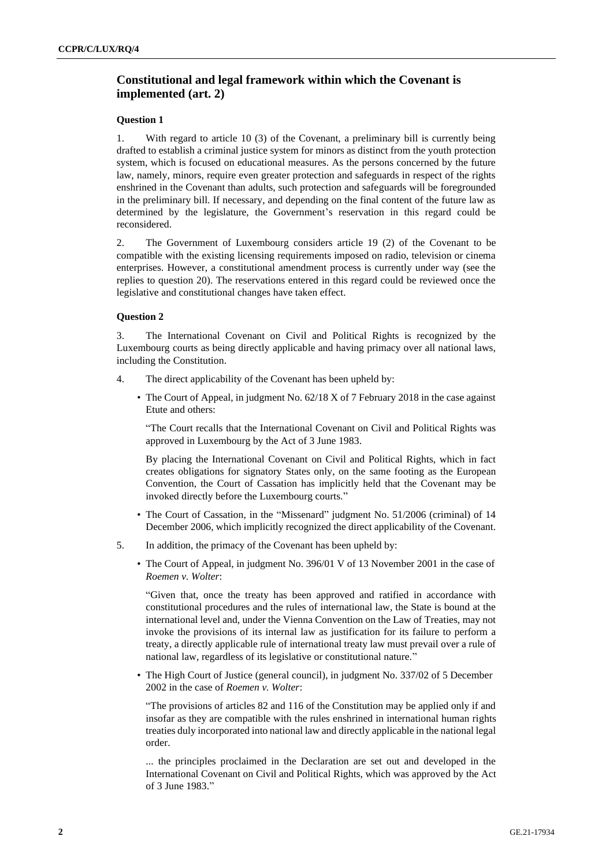## **Constitutional and legal framework within which the Covenant is implemented (art. 2)**

## **Question 1**

1. With regard to article 10 (3) of the Covenant, a preliminary bill is currently being drafted to establish a criminal justice system for minors as distinct from the youth protection system, which is focused on educational measures. As the persons concerned by the future law, namely, minors, require even greater protection and safeguards in respect of the rights enshrined in the Covenant than adults, such protection and safeguards will be foregrounded in the preliminary bill. If necessary, and depending on the final content of the future law as determined by the legislature, the Government's reservation in this regard could be reconsidered.

2. The Government of Luxembourg considers article 19 (2) of the Covenant to be compatible with the existing licensing requirements imposed on radio, television or cinema enterprises. However, a constitutional amendment process is currently under way (see the replies to question 20). The reservations entered in this regard could be reviewed once the legislative and constitutional changes have taken effect.

## **Question 2**

3. The International Covenant on Civil and Political Rights is recognized by the Luxembourg courts as being directly applicable and having primacy over all national laws, including the Constitution.

- 4. The direct applicability of the Covenant has been upheld by:
	- The Court of Appeal, in judgment No. 62/18 X of 7 February 2018 in the case against Etute and others:

"The Court recalls that the International Covenant on Civil and Political Rights was approved in Luxembourg by the Act of 3 June 1983.

By placing the International Covenant on Civil and Political Rights, which in fact creates obligations for signatory States only, on the same footing as the European Convention, the Court of Cassation has implicitly held that the Covenant may be invoked directly before the Luxembourg courts."

- The Court of Cassation, in the "Missenard" judgment No. 51/2006 (criminal) of 14 December 2006, which implicitly recognized the direct applicability of the Covenant.
- 5. In addition, the primacy of the Covenant has been upheld by:
	- The Court of Appeal, in judgment No. 396/01 V of 13 November 2001 in the case of *Roemen v. Wolter*:

"Given that, once the treaty has been approved and ratified in accordance with constitutional procedures and the rules of international law, the State is bound at the international level and, under the Vienna Convention on the Law of Treaties, may not invoke the provisions of its internal law as justification for its failure to perform a treaty, a directly applicable rule of international treaty law must prevail over a rule of national law, regardless of its legislative or constitutional nature."

• The High Court of Justice (general council), in judgment No. 337/02 of 5 December 2002 in the case of *Roemen v. Wolter*:

"The provisions of articles 82 and 116 of the Constitution may be applied only if and insofar as they are compatible with the rules enshrined in international human rights treaties duly incorporated into national law and directly applicable in the national legal order.

... the principles proclaimed in the Declaration are set out and developed in the International Covenant on Civil and Political Rights, which was approved by the Act of 3 June 1983."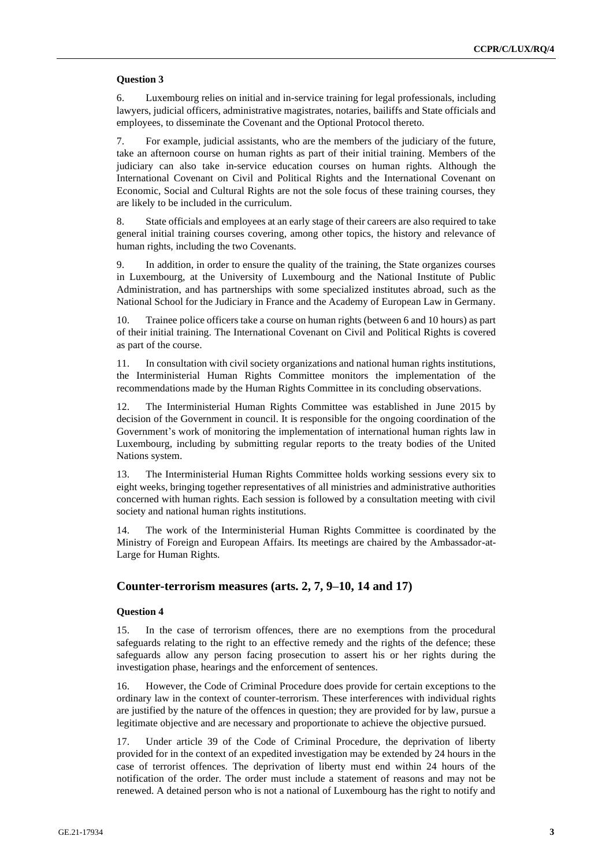#### **Question 3**

6. Luxembourg relies on initial and in-service training for legal professionals, including lawyers, judicial officers, administrative magistrates, notaries, bailiffs and State officials and employees, to disseminate the Covenant and the Optional Protocol thereto.

7. For example, judicial assistants, who are the members of the judiciary of the future, take an afternoon course on human rights as part of their initial training. Members of the judiciary can also take in-service education courses on human rights. Although the International Covenant on Civil and Political Rights and the International Covenant on Economic, Social and Cultural Rights are not the sole focus of these training courses, they are likely to be included in the curriculum.

8. State officials and employees at an early stage of their careers are also required to take general initial training courses covering, among other topics, the history and relevance of human rights, including the two Covenants.

9. In addition, in order to ensure the quality of the training, the State organizes courses in Luxembourg, at the University of Luxembourg and the National Institute of Public Administration, and has partnerships with some specialized institutes abroad, such as the National School for the Judiciary in France and the Academy of European Law in Germany.

10. Trainee police officers take a course on human rights (between 6 and 10 hours) as part of their initial training. The International Covenant on Civil and Political Rights is covered as part of the course.

11. In consultation with civil society organizations and national human rights institutions, the Interministerial Human Rights Committee monitors the implementation of the recommendations made by the Human Rights Committee in its concluding observations.

12. The Interministerial Human Rights Committee was established in June 2015 by decision of the Government in council. It is responsible for the ongoing coordination of the Government's work of monitoring the implementation of international human rights law in Luxembourg, including by submitting regular reports to the treaty bodies of the United Nations system.

13. The Interministerial Human Rights Committee holds working sessions every six to eight weeks, bringing together representatives of all ministries and administrative authorities concerned with human rights. Each session is followed by a consultation meeting with civil society and national human rights institutions.

14. The work of the Interministerial Human Rights Committee is coordinated by the Ministry of Foreign and European Affairs. Its meetings are chaired by the Ambassador-at-Large for Human Rights.

#### **Counter-terrorism measures (arts. 2, 7, 9–10, 14 and 17)**

#### **Question 4**

15. In the case of terrorism offences, there are no exemptions from the procedural safeguards relating to the right to an effective remedy and the rights of the defence; these safeguards allow any person facing prosecution to assert his or her rights during the investigation phase, hearings and the enforcement of sentences.

16. However, the Code of Criminal Procedure does provide for certain exceptions to the ordinary law in the context of counter-terrorism. These interferences with individual rights are justified by the nature of the offences in question; they are provided for by law, pursue a legitimate objective and are necessary and proportionate to achieve the objective pursued.

17. Under article 39 of the Code of Criminal Procedure, the deprivation of liberty provided for in the context of an expedited investigation may be extended by 24 hours in the case of terrorist offences. The deprivation of liberty must end within 24 hours of the notification of the order. The order must include a statement of reasons and may not be renewed. A detained person who is not a national of Luxembourg has the right to notify and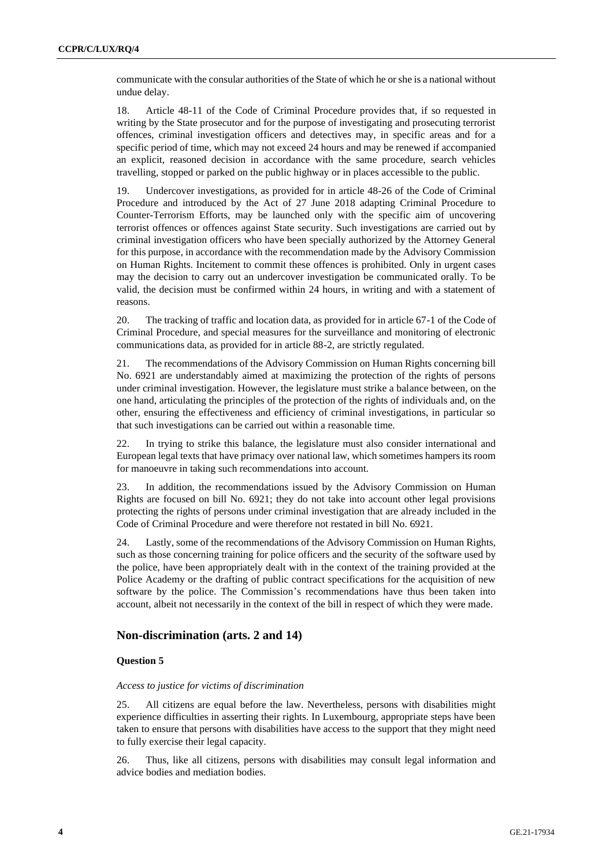communicate with the consular authorities of the State of which he or she is a national without undue delay.

18. Article 48-11 of the Code of Criminal Procedure provides that, if so requested in writing by the State prosecutor and for the purpose of investigating and prosecuting terrorist offences, criminal investigation officers and detectives may, in specific areas and for a specific period of time, which may not exceed 24 hours and may be renewed if accompanied an explicit, reasoned decision in accordance with the same procedure, search vehicles travelling, stopped or parked on the public highway or in places accessible to the public.

19. Undercover investigations, as provided for in article 48-26 of the Code of Criminal Procedure and introduced by the Act of 27 June 2018 adapting Criminal Procedure to Counter-Terrorism Efforts, may be launched only with the specific aim of uncovering terrorist offences or offences against State security. Such investigations are carried out by criminal investigation officers who have been specially authorized by the Attorney General for this purpose, in accordance with the recommendation made by the Advisory Commission on Human Rights. Incitement to commit these offences is prohibited. Only in urgent cases may the decision to carry out an undercover investigation be communicated orally. To be valid, the decision must be confirmed within 24 hours, in writing and with a statement of reasons.

20. The tracking of traffic and location data, as provided for in article 67-1 of the Code of Criminal Procedure, and special measures for the surveillance and monitoring of electronic communications data, as provided for in article 88-2, are strictly regulated.

21. The recommendations of the Advisory Commission on Human Rights concerning bill No. 6921 are understandably aimed at maximizing the protection of the rights of persons under criminal investigation. However, the legislature must strike a balance between, on the one hand, articulating the principles of the protection of the rights of individuals and, on the other, ensuring the effectiveness and efficiency of criminal investigations, in particular so that such investigations can be carried out within a reasonable time.

22. In trying to strike this balance, the legislature must also consider international and European legal texts that have primacy over national law, which sometimes hampers its room for manoeuvre in taking such recommendations into account.

23. In addition, the recommendations issued by the Advisory Commission on Human Rights are focused on bill No. 6921; they do not take into account other legal provisions protecting the rights of persons under criminal investigation that are already included in the Code of Criminal Procedure and were therefore not restated in bill No. 6921.

24. Lastly, some of the recommendations of the Advisory Commission on Human Rights, such as those concerning training for police officers and the security of the software used by the police, have been appropriately dealt with in the context of the training provided at the Police Academy or the drafting of public contract specifications for the acquisition of new software by the police. The Commission's recommendations have thus been taken into account, albeit not necessarily in the context of the bill in respect of which they were made.

## **Non-discrimination (arts. 2 and 14)**

#### **Question 5**

#### *Access to justice for victims of discrimination*

25. All citizens are equal before the law. Nevertheless, persons with disabilities might experience difficulties in asserting their rights. In Luxembourg, appropriate steps have been taken to ensure that persons with disabilities have access to the support that they might need to fully exercise their legal capacity.

26. Thus, like all citizens, persons with disabilities may consult legal information and advice bodies and mediation bodies.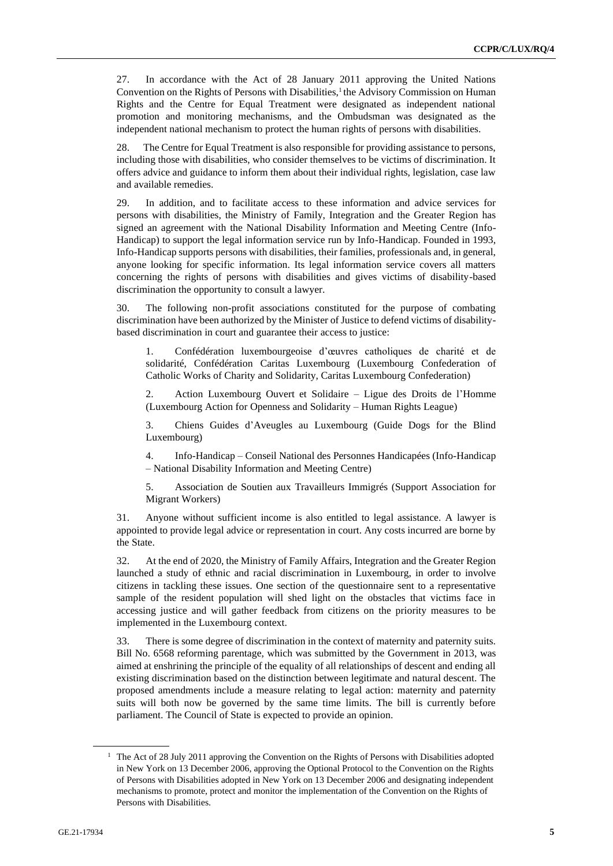27. In accordance with the Act of 28 January 2011 approving the United Nations Convention on the Rights of Persons with Disabilities, $<sup>1</sup>$  the Advisory Commission on Human</sup> Rights and the Centre for Equal Treatment were designated as independent national promotion and monitoring mechanisms, and the Ombudsman was designated as the independent national mechanism to protect the human rights of persons with disabilities.

28. The Centre for Equal Treatment is also responsible for providing assistance to persons, including those with disabilities, who consider themselves to be victims of discrimination. It offers advice and guidance to inform them about their individual rights, legislation, case law and available remedies.

29. In addition, and to facilitate access to these information and advice services for persons with disabilities, the Ministry of Family, Integration and the Greater Region has signed an agreement with the National Disability Information and Meeting Centre (Info-Handicap) to support the legal information service run by Info-Handicap. Founded in 1993, Info-Handicap supports persons with disabilities, their families, professionals and, in general, anyone looking for specific information. Its legal information service covers all matters concerning the rights of persons with disabilities and gives victims of disability-based discrimination the opportunity to consult a lawyer.

30. The following non-profit associations constituted for the purpose of combating discrimination have been authorized by the Minister of Justice to defend victims of disabilitybased discrimination in court and guarantee their access to justice:

1. Confédération luxembourgeoise d'œuvres catholiques de charité et de solidarité, Confédération Caritas Luxembourg (Luxembourg Confederation of Catholic Works of Charity and Solidarity, Caritas Luxembourg Confederation)

2. Action Luxembourg Ouvert et Solidaire – Ligue des Droits de l'Homme (Luxembourg Action for Openness and Solidarity – Human Rights League)

3. Chiens Guides d'Aveugles au Luxembourg (Guide Dogs for the Blind Luxembourg)

4. Info-Handicap – Conseil National des Personnes Handicapées (Info-Handicap – National Disability Information and Meeting Centre)

5. Association de Soutien aux Travailleurs Immigrés (Support Association for Migrant Workers)

31. Anyone without sufficient income is also entitled to legal assistance. A lawyer is appointed to provide legal advice or representation in court. Any costs incurred are borne by the State.

32. At the end of 2020, the Ministry of Family Affairs, Integration and the Greater Region launched a study of ethnic and racial discrimination in Luxembourg, in order to involve citizens in tackling these issues. One section of the questionnaire sent to a representative sample of the resident population will shed light on the obstacles that victims face in accessing justice and will gather feedback from citizens on the priority measures to be implemented in the Luxembourg context.

33. There is some degree of discrimination in the context of maternity and paternity suits. Bill No. 6568 reforming parentage, which was submitted by the Government in 2013, was aimed at enshrining the principle of the equality of all relationships of descent and ending all existing discrimination based on the distinction between legitimate and natural descent. The proposed amendments include a measure relating to legal action: maternity and paternity suits will both now be governed by the same time limits. The bill is currently before parliament. The Council of State is expected to provide an opinion.

<sup>&</sup>lt;sup>1</sup> The Act of 28 July 2011 approving the Convention on the Rights of Persons with Disabilities adopted in New York on 13 December 2006, approving the Optional Protocol to the Convention on the Rights of Persons with Disabilities adopted in New York on 13 December 2006 and designating independent mechanisms to promote, protect and monitor the implementation of the Convention on the Rights of Persons with Disabilities.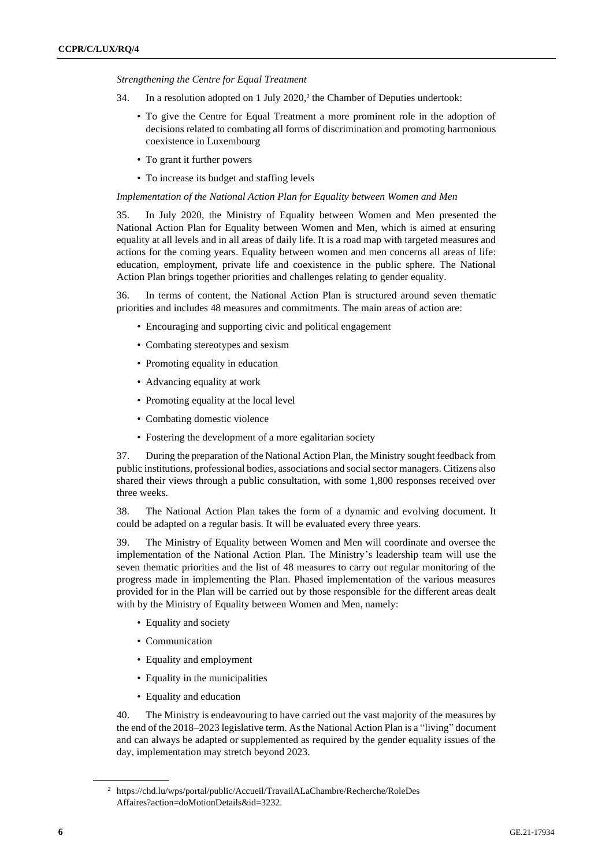*Strengthening the Centre for Equal Treatment*

- 34. In a resolution adopted on 1 July  $2020$ , the Chamber of Deputies undertook:
	- To give the Centre for Equal Treatment a more prominent role in the adoption of decisions related to combating all forms of discrimination and promoting harmonious coexistence in Luxembourg
	- To grant it further powers
	- To increase its budget and staffing levels

#### *Implementation of the National Action Plan for Equality between Women and Men*

35. In July 2020, the Ministry of Equality between Women and Men presented the National Action Plan for Equality between Women and Men, which is aimed at ensuring equality at all levels and in all areas of daily life. It is a road map with targeted measures and actions for the coming years. Equality between women and men concerns all areas of life: education, employment, private life and coexistence in the public sphere. The National Action Plan brings together priorities and challenges relating to gender equality.

36. In terms of content, the National Action Plan is structured around seven thematic priorities and includes 48 measures and commitments. The main areas of action are:

- Encouraging and supporting civic and political engagement
- Combating stereotypes and sexism
- Promoting equality in education
- Advancing equality at work
- Promoting equality at the local level
- Combating domestic violence
- Fostering the development of a more egalitarian society

37. During the preparation of the National Action Plan, the Ministry sought feedback from public institutions, professional bodies, associations and social sector managers. Citizens also shared their views through a public consultation, with some 1,800 responses received over three weeks.

38. The National Action Plan takes the form of a dynamic and evolving document. It could be adapted on a regular basis. It will be evaluated every three years.

39. The Ministry of Equality between Women and Men will coordinate and oversee the implementation of the National Action Plan. The Ministry's leadership team will use the seven thematic priorities and the list of 48 measures to carry out regular monitoring of the progress made in implementing the Plan. Phased implementation of the various measures provided for in the Plan will be carried out by those responsible for the different areas dealt with by the Ministry of Equality between Women and Men, namely:

- Equality and society
- Communication
- Equality and employment
- Equality in the municipalities
- Equality and education

40. The Ministry is endeavouring to have carried out the vast majority of the measures by the end of the 2018–2023 legislative term. As the National Action Plan is a "living" document and can always be adapted or supplemented as required by the gender equality issues of the day, implementation may stretch beyond 2023.

<sup>2</sup> https://chd.lu/wps/portal/public/Accueil/TravailALaChambre/Recherche/RoleDes Affaires?action=doMotionDetails&id=3232.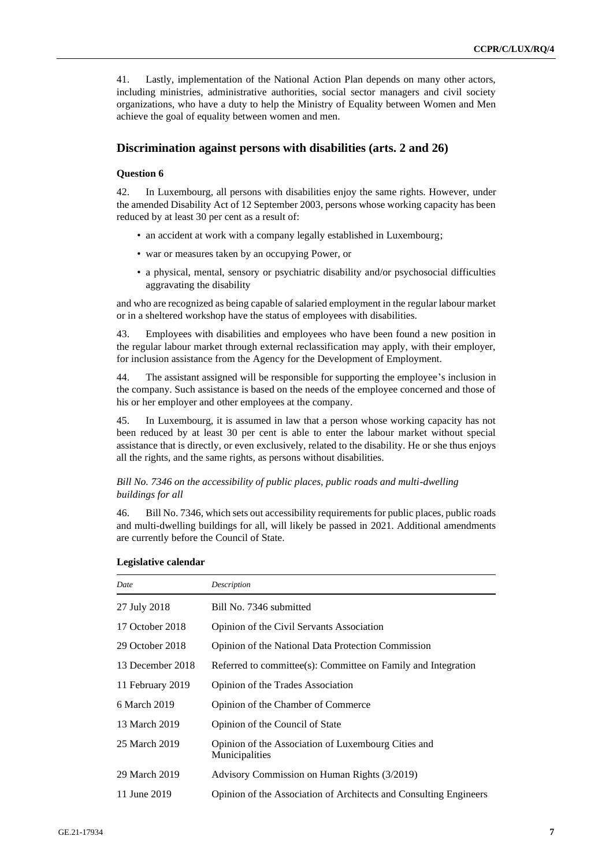41. Lastly, implementation of the National Action Plan depends on many other actors, including ministries, administrative authorities, social sector managers and civil society organizations, who have a duty to help the Ministry of Equality between Women and Men achieve the goal of equality between women and men.

## **Discrimination against persons with disabilities (arts. 2 and 26)**

#### **Question 6**

42. In Luxembourg, all persons with disabilities enjoy the same rights. However, under the amended Disability Act of 12 September 2003, persons whose working capacity has been reduced by at least 30 per cent as a result of:

- an accident at work with a company legally established in Luxembourg;
- war or measures taken by an occupying Power, or
- a physical, mental, sensory or psychiatric disability and/or psychosocial difficulties aggravating the disability

and who are recognized as being capable of salaried employment in the regular labour market or in a sheltered workshop have the status of employees with disabilities.

43. Employees with disabilities and employees who have been found a new position in the regular labour market through external reclassification may apply, with their employer, for inclusion assistance from the Agency for the Development of Employment.

44. The assistant assigned will be responsible for supporting the employee's inclusion in the company. Such assistance is based on the needs of the employee concerned and those of his or her employer and other employees at the company.

45. In Luxembourg, it is assumed in law that a person whose working capacity has not been reduced by at least 30 per cent is able to enter the labour market without special assistance that is directly, or even exclusively, related to the disability. He or she thus enjoys all the rights, and the same rights, as persons without disabilities.

#### *Bill No. 7346 on the accessibility of public places, public roads and multi-dwelling buildings for all*

46. Bill No. 7346, which sets out accessibility requirements for public places, public roads and multi-dwelling buildings for all, will likely be passed in 2021. Additional amendments are currently before the Council of State.

#### **Legislative calendar**

| Date             | Description                                                           |
|------------------|-----------------------------------------------------------------------|
| 27 July 2018     | Bill No. 7346 submitted                                               |
| 17 October 2018  | Opinion of the Civil Servants Association                             |
| 29 October 2018  | <b>Opinion of the National Data Protection Commission</b>             |
| 13 December 2018 | Referred to committee(s): Committee on Family and Integration         |
| 11 February 2019 | Opinion of the Trades Association                                     |
| 6 March 2019     | Opinion of the Chamber of Commerce                                    |
| 13 March 2019    | Opinion of the Council of State                                       |
| 25 March 2019    | Opinion of the Association of Luxembourg Cities and<br>Municipalities |
| 29 March 2019    | Advisory Commission on Human Rights (3/2019)                          |
| 11 June 2019     | Opinion of the Association of Architects and Consulting Engineers     |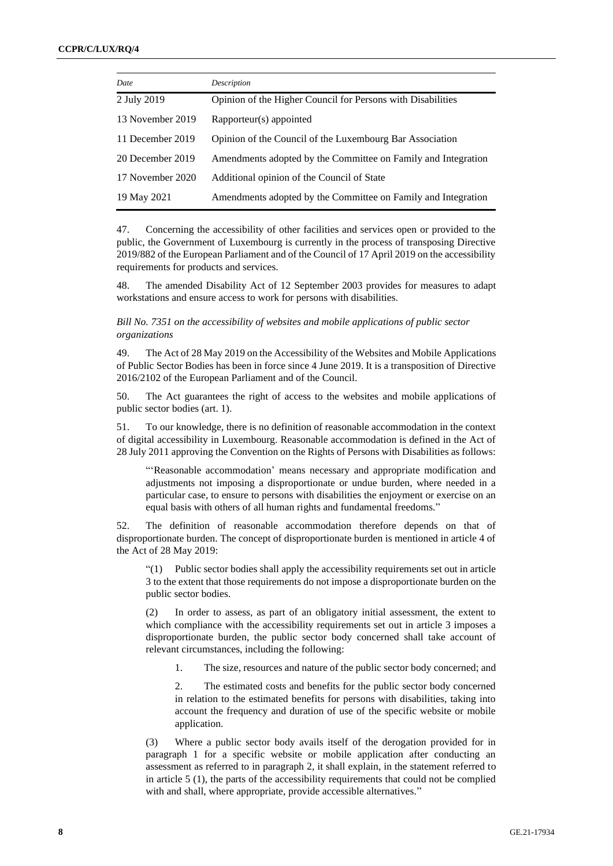| Date             | Description                                                   |
|------------------|---------------------------------------------------------------|
| 2 July 2019      | Opinion of the Higher Council for Persons with Disabilities   |
| 13 November 2019 | Rapporteur(s) appointed                                       |
| 11 December 2019 | Opinion of the Council of the Luxembourg Bar Association      |
| 20 December 2019 | Amendments adopted by the Committee on Family and Integration |
| 17 November 2020 | Additional opinion of the Council of State                    |
| 19 May 2021      | Amendments adopted by the Committee on Family and Integration |

47. Concerning the accessibility of other facilities and services open or provided to the public, the Government of Luxembourg is currently in the process of transposing Directive 2019/882 of the European Parliament and of the Council of 17 April 2019 on the accessibility requirements for products and services.

48. The amended Disability Act of 12 September 2003 provides for measures to adapt workstations and ensure access to work for persons with disabilities.

*Bill No. 7351 on the accessibility of websites and mobile applications of public sector organizations* 

49. The Act of 28 May 2019 on the Accessibility of the Websites and Mobile Applications of Public Sector Bodies has been in force since 4 June 2019. It is a transposition of Directive 2016/2102 of the European Parliament and of the Council.

50. The Act guarantees the right of access to the websites and mobile applications of public sector bodies (art. 1).

51. To our knowledge, there is no definition of reasonable accommodation in the context of digital accessibility in Luxembourg. Reasonable accommodation is defined in the Act of 28 July 2011 approving the Convention on the Rights of Persons with Disabilities as follows:

"'Reasonable accommodation' means necessary and appropriate modification and adjustments not imposing a disproportionate or undue burden, where needed in a particular case, to ensure to persons with disabilities the enjoyment or exercise on an equal basis with others of all human rights and fundamental freedoms."

52. The definition of reasonable accommodation therefore depends on that of disproportionate burden. The concept of disproportionate burden is mentioned in article 4 of the Act of 28 May 2019:

"(1) Public sector bodies shall apply the accessibility requirements set out in article 3 to the extent that those requirements do not impose a disproportionate burden on the public sector bodies.

(2) In order to assess, as part of an obligatory initial assessment, the extent to which compliance with the accessibility requirements set out in article 3 imposes a disproportionate burden, the public sector body concerned shall take account of relevant circumstances, including the following:

1. The size, resources and nature of the public sector body concerned; and

2. The estimated costs and benefits for the public sector body concerned in relation to the estimated benefits for persons with disabilities, taking into account the frequency and duration of use of the specific website or mobile application.

(3) Where a public sector body avails itself of the derogation provided for in paragraph 1 for a specific website or mobile application after conducting an assessment as referred to in paragraph 2, it shall explain, in the statement referred to in article 5 (1), the parts of the accessibility requirements that could not be complied with and shall, where appropriate, provide accessible alternatives."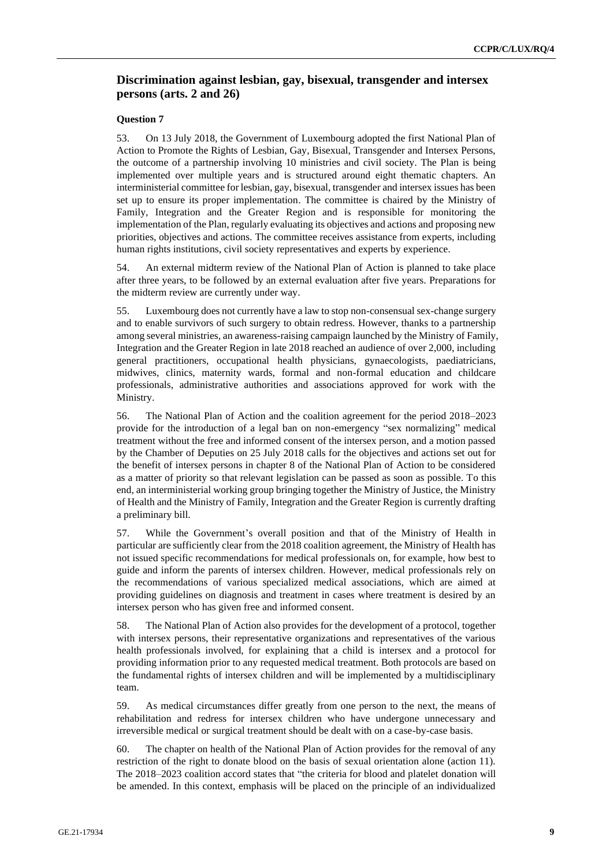## **Discrimination against lesbian, gay, bisexual, transgender and intersex persons (arts. 2 and 26)**

## **Question 7**

53. On 13 July 2018, the Government of Luxembourg adopted the first National Plan of Action to Promote the Rights of Lesbian, Gay, Bisexual, Transgender and Intersex Persons, the outcome of a partnership involving 10 ministries and civil society. The Plan is being implemented over multiple years and is structured around eight thematic chapters. An interministerial committee for lesbian, gay, bisexual, transgender and intersex issues has been set up to ensure its proper implementation. The committee is chaired by the Ministry of Family, Integration and the Greater Region and is responsible for monitoring the implementation of the Plan, regularly evaluating its objectives and actions and proposing new priorities, objectives and actions. The committee receives assistance from experts, including human rights institutions, civil society representatives and experts by experience.

54. An external midterm review of the National Plan of Action is planned to take place after three years, to be followed by an external evaluation after five years. Preparations for the midterm review are currently under way.

55. Luxembourg does not currently have a law to stop non-consensual sex-change surgery and to enable survivors of such surgery to obtain redress. However, thanks to a partnership among several ministries, an awareness-raising campaign launched by the Ministry of Family, Integration and the Greater Region in late 2018 reached an audience of over 2,000, including general practitioners, occupational health physicians, gynaecologists, paediatricians, midwives, clinics, maternity wards, formal and non-formal education and childcare professionals, administrative authorities and associations approved for work with the Ministry.

56. The National Plan of Action and the coalition agreement for the period 2018–2023 provide for the introduction of a legal ban on non-emergency "sex normalizing" medical treatment without the free and informed consent of the intersex person, and a motion passed by the Chamber of Deputies on 25 July 2018 calls for the objectives and actions set out for the benefit of intersex persons in chapter 8 of the National Plan of Action to be considered as a matter of priority so that relevant legislation can be passed as soon as possible. To this end, an interministerial working group bringing together the Ministry of Justice, the Ministry of Health and the Ministry of Family, Integration and the Greater Region is currently drafting a preliminary bill.

57. While the Government's overall position and that of the Ministry of Health in particular are sufficiently clear from the 2018 coalition agreement, the Ministry of Health has not issued specific recommendations for medical professionals on, for example, how best to guide and inform the parents of intersex children. However, medical professionals rely on the recommendations of various specialized medical associations, which are aimed at providing guidelines on diagnosis and treatment in cases where treatment is desired by an intersex person who has given free and informed consent.

58. The National Plan of Action also provides for the development of a protocol, together with intersex persons, their representative organizations and representatives of the various health professionals involved, for explaining that a child is intersex and a protocol for providing information prior to any requested medical treatment. Both protocols are based on the fundamental rights of intersex children and will be implemented by a multidisciplinary team.

59. As medical circumstances differ greatly from one person to the next, the means of rehabilitation and redress for intersex children who have undergone unnecessary and irreversible medical or surgical treatment should be dealt with on a case-by-case basis.

60. The chapter on health of the National Plan of Action provides for the removal of any restriction of the right to donate blood on the basis of sexual orientation alone (action 11). The 2018–2023 coalition accord states that "the criteria for blood and platelet donation will be amended. In this context, emphasis will be placed on the principle of an individualized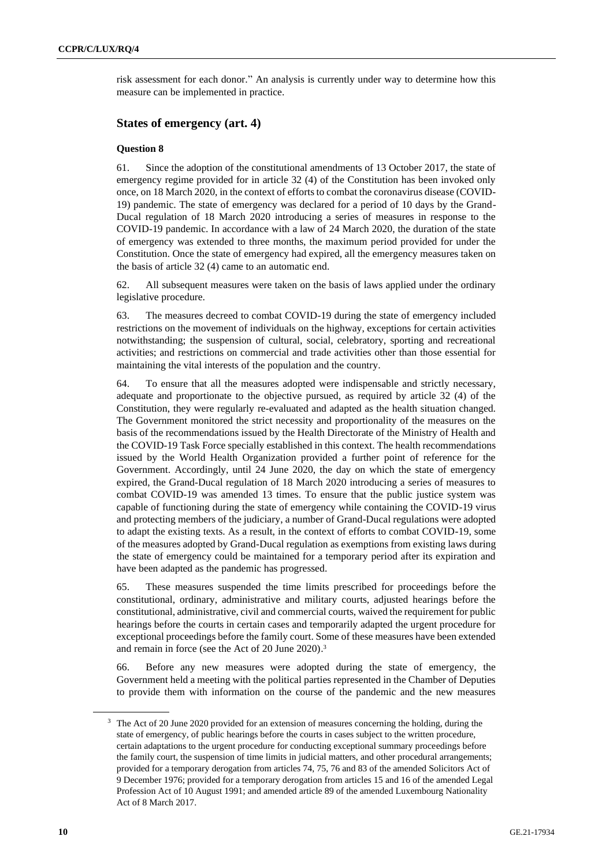risk assessment for each donor." An analysis is currently under way to determine how this measure can be implemented in practice.

## **States of emergency (art. 4)**

#### **Question 8**

61. Since the adoption of the constitutional amendments of 13 October 2017, the state of emergency regime provided for in article 32 (4) of the Constitution has been invoked only once, on 18 March 2020, in the context of efforts to combat the coronavirus disease (COVID-19) pandemic. The state of emergency was declared for a period of 10 days by the Grand-Ducal regulation of 18 March 2020 introducing a series of measures in response to the COVID-19 pandemic. In accordance with a law of 24 March 2020, the duration of the state of emergency was extended to three months, the maximum period provided for under the Constitution. Once the state of emergency had expired, all the emergency measures taken on the basis of article 32 (4) came to an automatic end.

62. All subsequent measures were taken on the basis of laws applied under the ordinary legislative procedure.

63. The measures decreed to combat COVID-19 during the state of emergency included restrictions on the movement of individuals on the highway, exceptions for certain activities notwithstanding; the suspension of cultural, social, celebratory, sporting and recreational activities; and restrictions on commercial and trade activities other than those essential for maintaining the vital interests of the population and the country.

64. To ensure that all the measures adopted were indispensable and strictly necessary, adequate and proportionate to the objective pursued, as required by article 32 (4) of the Constitution, they were regularly re-evaluated and adapted as the health situation changed. The Government monitored the strict necessity and proportionality of the measures on the basis of the recommendations issued by the Health Directorate of the Ministry of Health and the COVID-19 Task Force specially established in this context. The health recommendations issued by the World Health Organization provided a further point of reference for the Government. Accordingly, until 24 June 2020, the day on which the state of emergency expired, the Grand-Ducal regulation of 18 March 2020 introducing a series of measures to combat COVID-19 was amended 13 times. To ensure that the public justice system was capable of functioning during the state of emergency while containing the COVID-19 virus and protecting members of the judiciary, a number of Grand-Ducal regulations were adopted to adapt the existing texts. As a result, in the context of efforts to combat COVID-19, some of the measures adopted by Grand-Ducal regulation as exemptions from existing laws during the state of emergency could be maintained for a temporary period after its expiration and have been adapted as the pandemic has progressed.

65. These measures suspended the time limits prescribed for proceedings before the constitutional, ordinary, administrative and military courts, adjusted hearings before the constitutional, administrative, civil and commercial courts, waived the requirement for public hearings before the courts in certain cases and temporarily adapted the urgent procedure for exceptional proceedings before the family court. Some of these measures have been extended and remain in force (see the Act of 20 June 2020). 3

66. Before any new measures were adopted during the state of emergency, the Government held a meeting with the political parties represented in the Chamber of Deputies to provide them with information on the course of the pandemic and the new measures

<sup>&</sup>lt;sup>3</sup> The Act of 20 June 2020 provided for an extension of measures concerning the holding, during the state of emergency, of public hearings before the courts in cases subject to the written procedure, certain adaptations to the urgent procedure for conducting exceptional summary proceedings before the family court, the suspension of time limits in judicial matters, and other procedural arrangements; provided for a temporary derogation from articles 74, 75, 76 and 83 of the amended Solicitors Act of 9 December 1976; provided for a temporary derogation from articles 15 and 16 of the amended Legal Profession Act of 10 August 1991; and amended article 89 of the amended Luxembourg Nationality Act of 8 March 2017.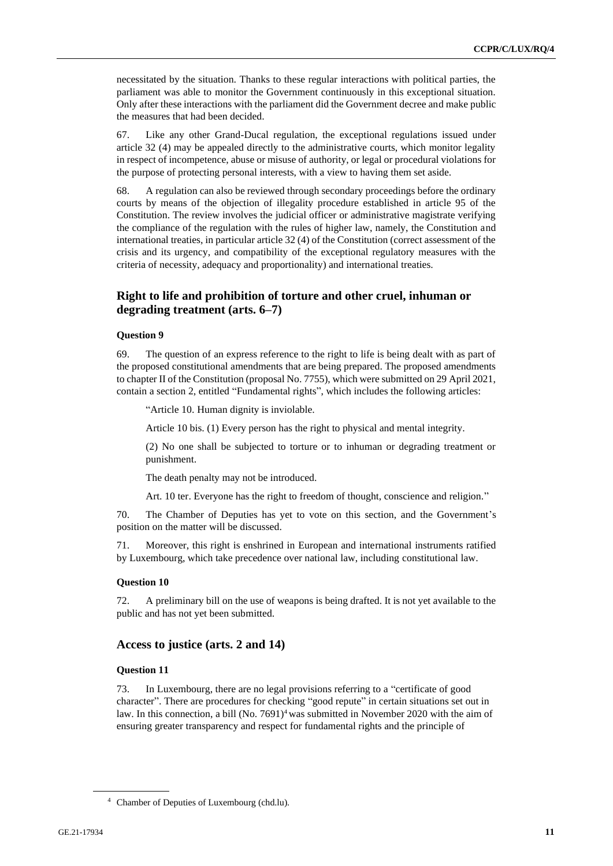necessitated by the situation. Thanks to these regular interactions with political parties, the parliament was able to monitor the Government continuously in this exceptional situation. Only after these interactions with the parliament did the Government decree and make public the measures that had been decided.

67. Like any other Grand-Ducal regulation, the exceptional regulations issued under article 32 (4) may be appealed directly to the administrative courts, which monitor legality in respect of incompetence, abuse or misuse of authority, or legal or procedural violations for the purpose of protecting personal interests, with a view to having them set aside.

68. A regulation can also be reviewed through secondary proceedings before the ordinary courts by means of the objection of illegality procedure established in article 95 of the Constitution. The review involves the judicial officer or administrative magistrate verifying the compliance of the regulation with the rules of higher law, namely, the Constitution and international treaties, in particular article 32 (4) of the Constitution (correct assessment of the crisis and its urgency, and compatibility of the exceptional regulatory measures with the criteria of necessity, adequacy and proportionality) and international treaties.

## **Right to life and prohibition of torture and other cruel, inhuman or degrading treatment (arts. 6–7)**

#### **Question 9**

69. The question of an express reference to the right to life is being dealt with as part of the proposed constitutional amendments that are being prepared. The proposed amendments to chapter II of the Constitution (proposal No. 7755), which were submitted on 29 April 2021, contain a section 2, entitled "Fundamental rights", which includes the following articles:

"Article 10. Human dignity is inviolable.

Article 10 bis. (1) Every person has the right to physical and mental integrity.

(2) No one shall be subjected to torture or to inhuman or degrading treatment or punishment.

The death penalty may not be introduced.

Art. 10 ter. Everyone has the right to freedom of thought, conscience and religion."

70. The Chamber of Deputies has yet to vote on this section, and the Government's position on the matter will be discussed.

Moreover, this right is enshrined in European and international instruments ratified by Luxembourg, which take precedence over national law, including constitutional law.

#### **Question 10**

72. A preliminary bill on the use of weapons is being drafted. It is not yet available to the public and has not yet been submitted.

#### **Access to justice (arts. 2 and 14)**

#### **Question 11**

73. In Luxembourg, there are no legal provisions referring to a "certificate of good character". There are procedures for checking "good repute" in certain situations set out in law. In this connection, a bill (No. 7691)<sup>4</sup> was submitted in November 2020 with the aim of ensuring greater transparency and respect for fundamental rights and the principle of

<sup>4</sup> Chamber of Deputies of Luxembourg (chd.lu).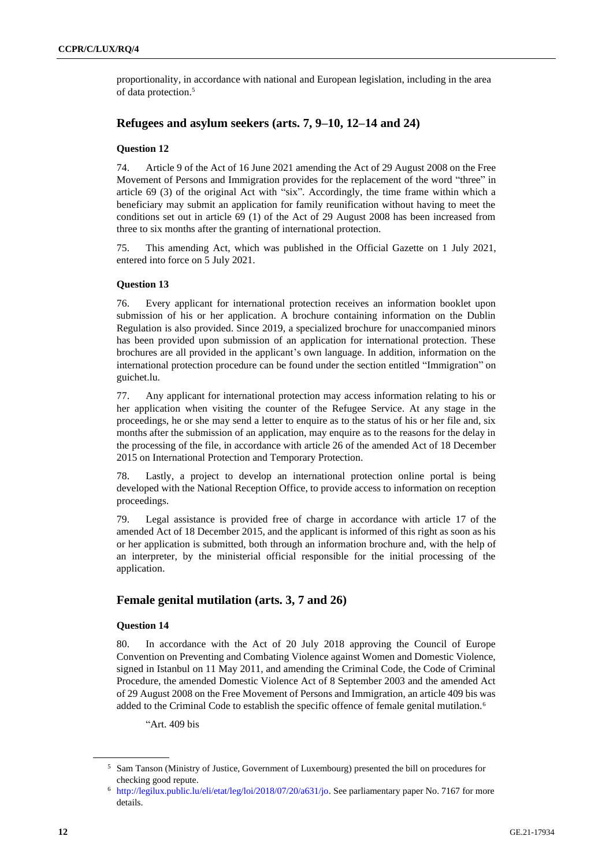proportionality, in accordance with national and European legislation, including in the area of data protection.<sup>5</sup>

## **Refugees and asylum seekers (arts. 7, 9–10, 12–14 and 24)**

## **Question 12**

74. Article 9 of the Act of 16 June 2021 amending the Act of 29 August 2008 on the Free Movement of Persons and Immigration provides for the replacement of the word "three" in article 69 (3) of the original Act with "six". Accordingly, the time frame within which a beneficiary may submit an application for family reunification without having to meet the conditions set out in article 69 (1) of the Act of 29 August 2008 has been increased from three to six months after the granting of international protection.

75. This amending Act, which was published in the Official Gazette on 1 July 2021, entered into force on 5 July 2021.

## **Question 13**

76. Every applicant for international protection receives an information booklet upon submission of his or her application. A brochure containing information on the Dublin Regulation is also provided. Since 2019, a specialized brochure for unaccompanied minors has been provided upon submission of an application for international protection. These brochures are all provided in the applicant's own language. In addition, information on the international protection procedure can be found under the section entitled "Immigration" on guichet.lu.

77. Any applicant for international protection may access information relating to his or her application when visiting the counter of the Refugee Service. At any stage in the proceedings, he or she may send a letter to enquire as to the status of his or her file and, six months after the submission of an application, may enquire as to the reasons for the delay in the processing of the file, in accordance with article 26 of the amended Act of 18 December 2015 on International Protection and Temporary Protection.

78. Lastly, a project to develop an international protection online portal is being developed with the National Reception Office, to provide access to information on reception proceedings.

79. Legal assistance is provided free of charge in accordance with article 17 of the amended Act of 18 December 2015, and the applicant is informed of this right as soon as his or her application is submitted, both through an information brochure and, with the help of an interpreter, by the ministerial official responsible for the initial processing of the application.

## **Female genital mutilation (arts. 3, 7 and 26)**

#### **Question 14**

80. In accordance with the Act of 20 July 2018 approving the Council of Europe Convention on Preventing and Combating Violence against Women and Domestic Violence, signed in Istanbul on 11 May 2011, and amending the Criminal Code, the Code of Criminal Procedure, the amended Domestic Violence Act of 8 September 2003 and the amended Act of 29 August 2008 on the Free Movement of Persons and Immigration, an article 409 bis was added to the Criminal Code to establish the specific offence of female genital mutilation.<sup>6</sup>

"Art. 409 bis

<sup>5</sup> Sam Tanson (Ministry of Justice, Government of Luxembourg) presented the bill on procedures for checking good repute.

<sup>6</sup> [http://legilux.public.lu/eli/etat/leg/loi/2018/07/20/a631/jo.](http://legilux.public.lu/eli/etat/leg/loi/2018/07/20/a631/jo) See parliamentary paper No. 7167 for more details.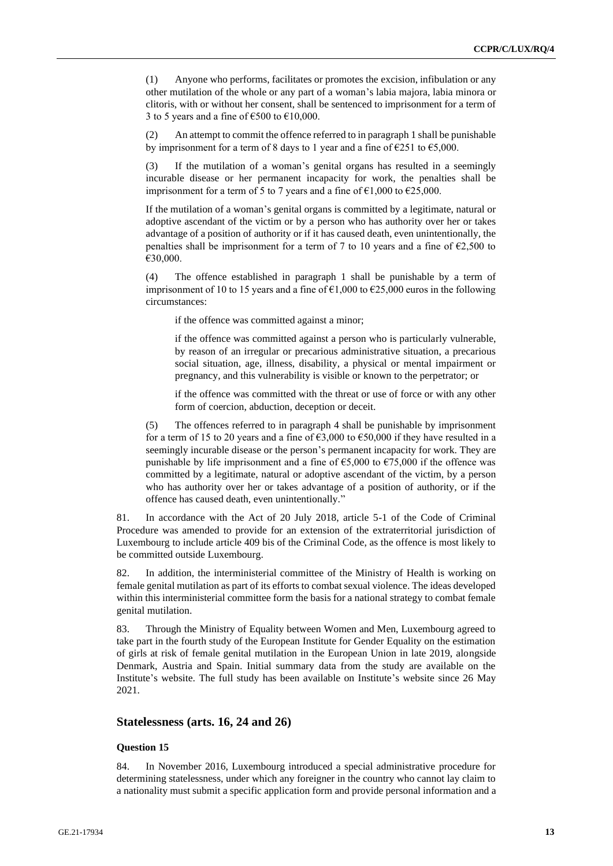(1) Anyone who performs, facilitates or promotes the excision, infibulation or any other mutilation of the whole or any part of a woman's labia majora, labia minora or clitoris, with or without her consent, shall be sentenced to imprisonment for a term of 3 to 5 years and a fine of  $\text{\textsterling}500$  to  $\text{\textsterling}10,000$ .

(2) An attempt to commit the offence referred to in paragraph 1 shall be punishable by imprisonment for a term of 8 days to 1 year and a fine of  $\epsilon$ 251 to  $\epsilon$ 5,000.

(3) If the mutilation of a woman's genital organs has resulted in a seemingly incurable disease or her permanent incapacity for work, the penalties shall be imprisonment for a term of 5 to 7 years and a fine of  $\epsilon$ 1,000 to  $\epsilon$ 25,000.

If the mutilation of a woman's genital organs is committed by a legitimate, natural or adoptive ascendant of the victim or by a person who has authority over her or takes advantage of a position of authority or if it has caused death, even unintentionally, the penalties shall be imprisonment for a term of 7 to 10 years and a fine of  $E$ 2,500 to €30,000.

(4) The offence established in paragraph 1 shall be punishable by a term of imprisonment of 10 to 15 years and a fine of  $\epsilon$ 1,000 to  $\epsilon$ 25,000 euros in the following circumstances:

if the offence was committed against a minor;

if the offence was committed against a person who is particularly vulnerable, by reason of an irregular or precarious administrative situation, a precarious social situation, age, illness, disability, a physical or mental impairment or pregnancy, and this vulnerability is visible or known to the perpetrator; or

if the offence was committed with the threat or use of force or with any other form of coercion, abduction, deception or deceit.

(5) The offences referred to in paragraph 4 shall be punishable by imprisonment for a term of 15 to 20 years and a fine of  $63,000$  to  $650,000$  if they have resulted in a seemingly incurable disease or the person's permanent incapacity for work. They are punishable by life imprisonment and a fine of  $\epsilon$ 5,000 to  $\epsilon$ 75,000 if the offence was committed by a legitimate, natural or adoptive ascendant of the victim, by a person who has authority over her or takes advantage of a position of authority, or if the offence has caused death, even unintentionally."

81. In accordance with the Act of 20 July 2018, article 5-1 of the Code of Criminal Procedure was amended to provide for an extension of the extraterritorial jurisdiction of Luxembourg to include article 409 bis of the Criminal Code, as the offence is most likely to be committed outside Luxembourg.

82. In addition, the interministerial committee of the Ministry of Health is working on female genital mutilation as part of its efforts to combat sexual violence. The ideas developed within this interministerial committee form the basis for a national strategy to combat female genital mutilation.

83. Through the Ministry of Equality between Women and Men, Luxembourg agreed to take part in the fourth study of the European Institute for Gender Equality on the estimation of girls at risk of female genital mutilation in the European Union in late 2019, alongside Denmark, Austria and Spain. Initial summary data from the study are available on the Institute's website. The full study has been available on Institute's website since 26 May 2021.

#### **Statelessness (arts. 16, 24 and 26)**

## **Question 15**

84. In November 2016, Luxembourg introduced a special administrative procedure for determining statelessness, under which any foreigner in the country who cannot lay claim to a nationality must submit a specific application form and provide personal information and a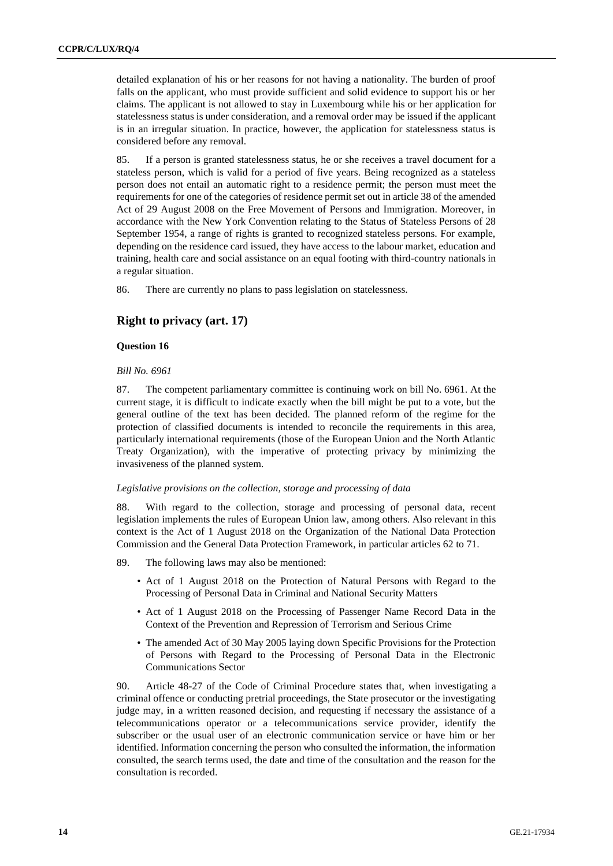detailed explanation of his or her reasons for not having a nationality. The burden of proof falls on the applicant, who must provide sufficient and solid evidence to support his or her claims. The applicant is not allowed to stay in Luxembourg while his or her application for statelessness status is under consideration, and a removal order may be issued if the applicant is in an irregular situation. In practice, however, the application for statelessness status is considered before any removal.

85. If a person is granted statelessness status, he or she receives a travel document for a stateless person, which is valid for a period of five years. Being recognized as a stateless person does not entail an automatic right to a residence permit; the person must meet the requirements for one of the categories of residence permit set out in article 38 of the amended Act of 29 August 2008 on the Free Movement of Persons and Immigration. Moreover, in accordance with the New York Convention relating to the Status of Stateless Persons of 28 September 1954, a range of rights is granted to recognized stateless persons. For example, depending on the residence card issued, they have access to the labour market, education and training, health care and social assistance on an equal footing with third-country nationals in a regular situation.

86. There are currently no plans to pass legislation on statelessness.

## **Right to privacy (art. 17)**

## **Question 16**

#### *Bill No. 6961*

87. The competent parliamentary committee is continuing work on bill No. 6961. At the current stage, it is difficult to indicate exactly when the bill might be put to a vote, but the general outline of the text has been decided. The planned reform of the regime for the protection of classified documents is intended to reconcile the requirements in this area, particularly international requirements (those of the European Union and the North Atlantic Treaty Organization), with the imperative of protecting privacy by minimizing the invasiveness of the planned system.

#### *Legislative provisions on the collection, storage and processing of data*

88. With regard to the collection, storage and processing of personal data, recent legislation implements the rules of European Union law, among others. Also relevant in this context is the Act of 1 August 2018 on the Organization of the National Data Protection Commission and the General Data Protection Framework, in particular articles 62 to 71.

89. The following laws may also be mentioned:

- Act of 1 August 2018 on the Protection of Natural Persons with Regard to the Processing of Personal Data in Criminal and National Security Matters
- Act of 1 August 2018 on the Processing of Passenger Name Record Data in the Context of the Prevention and Repression of Terrorism and Serious Crime
- The amended Act of 30 May 2005 laying down Specific Provisions for the Protection of Persons with Regard to the Processing of Personal Data in the Electronic Communications Sector

90. Article 48-27 of the Code of Criminal Procedure states that, when investigating a criminal offence or conducting pretrial proceedings, the State prosecutor or the investigating judge may, in a written reasoned decision, and requesting if necessary the assistance of a telecommunications operator or a telecommunications service provider, identify the subscriber or the usual user of an electronic communication service or have him or her identified. Information concerning the person who consulted the information, the information consulted, the search terms used, the date and time of the consultation and the reason for the consultation is recorded.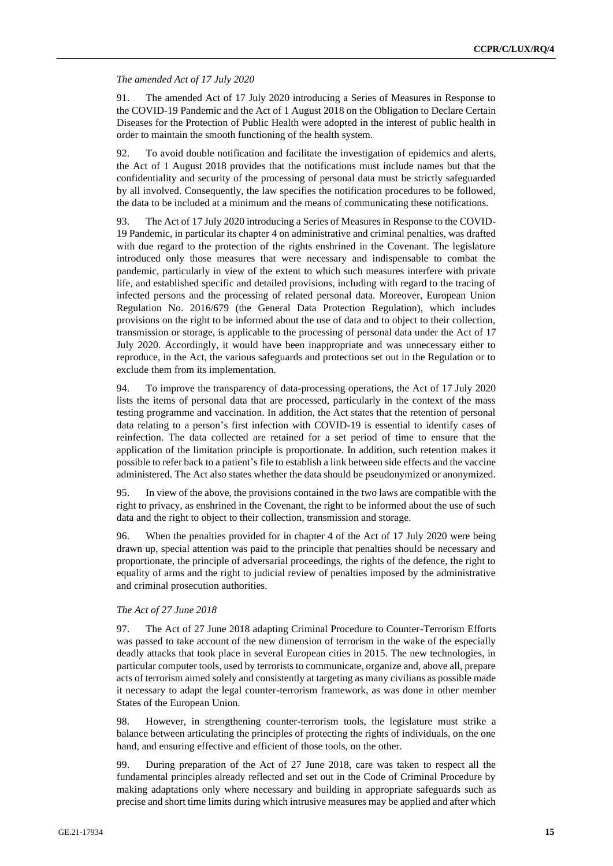#### *The amended Act of 17 July 2020*

91. The amended Act of 17 July 2020 introducing a Series of Measures in Response to the COVID-19 Pandemic and the Act of 1 August 2018 on the Obligation to Declare Certain Diseases for the Protection of Public Health were adopted in the interest of public health in order to maintain the smooth functioning of the health system.

92. To avoid double notification and facilitate the investigation of epidemics and alerts, the Act of 1 August 2018 provides that the notifications must include names but that the confidentiality and security of the processing of personal data must be strictly safeguarded by all involved. Consequently, the law specifies the notification procedures to be followed, the data to be included at a minimum and the means of communicating these notifications.

93. The Act of 17 July 2020 introducing a Series of Measures in Response to the COVID-19 Pandemic, in particular its chapter 4 on administrative and criminal penalties, was drafted with due regard to the protection of the rights enshrined in the Covenant. The legislature introduced only those measures that were necessary and indispensable to combat the pandemic, particularly in view of the extent to which such measures interfere with private life, and established specific and detailed provisions, including with regard to the tracing of infected persons and the processing of related personal data. Moreover, European Union Regulation No. 2016/679 (the General Data Protection Regulation), which includes provisions on the right to be informed about the use of data and to object to their collection, transmission or storage, is applicable to the processing of personal data under the Act of 17 July 2020. Accordingly, it would have been inappropriate and was unnecessary either to reproduce, in the Act, the various safeguards and protections set out in the Regulation or to exclude them from its implementation.

94. To improve the transparency of data-processing operations, the Act of 17 July 2020 lists the items of personal data that are processed, particularly in the context of the mass testing programme and vaccination. In addition, the Act states that the retention of personal data relating to a person's first infection with COVID-19 is essential to identify cases of reinfection. The data collected are retained for a set period of time to ensure that the application of the limitation principle is proportionate. In addition, such retention makes it possible to refer back to a patient's file to establish a link between side effects and the vaccine administered. The Act also states whether the data should be pseudonymized or anonymized.

95. In view of the above, the provisions contained in the two laws are compatible with the right to privacy, as enshrined in the Covenant, the right to be informed about the use of such data and the right to object to their collection, transmission and storage.

96. When the penalties provided for in chapter 4 of the Act of 17 July 2020 were being drawn up, special attention was paid to the principle that penalties should be necessary and proportionate, the principle of adversarial proceedings, the rights of the defence, the right to equality of arms and the right to judicial review of penalties imposed by the administrative and criminal prosecution authorities.

#### *The Act of 27 June 2018*

97. The Act of 27 June 2018 adapting Criminal Procedure to Counter-Terrorism Efforts was passed to take account of the new dimension of terrorism in the wake of the especially deadly attacks that took place in several European cities in 2015. The new technologies, in particular computer tools, used by terrorists to communicate, organize and, above all, prepare acts of terrorism aimed solely and consistently at targeting as many civilians as possible made it necessary to adapt the legal counter-terrorism framework, as was done in other member States of the European Union.

98. However, in strengthening counter-terrorism tools, the legislature must strike a balance between articulating the principles of protecting the rights of individuals, on the one hand, and ensuring effective and efficient of those tools, on the other.

99. During preparation of the Act of 27 June 2018, care was taken to respect all the fundamental principles already reflected and set out in the Code of Criminal Procedure by making adaptations only where necessary and building in appropriate safeguards such as precise and short time limits during which intrusive measures may be applied and after which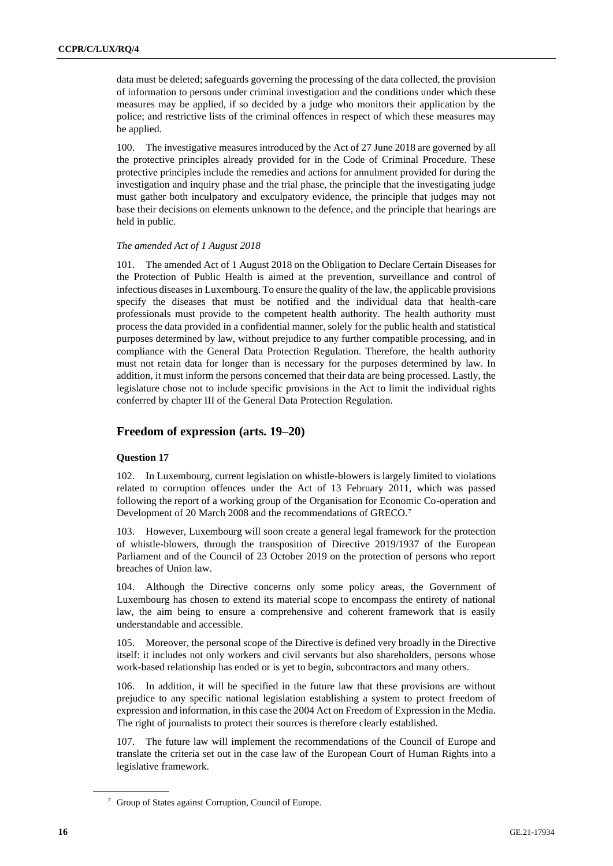data must be deleted; safeguards governing the processing of the data collected, the provision of information to persons under criminal investigation and the conditions under which these measures may be applied, if so decided by a judge who monitors their application by the police; and restrictive lists of the criminal offences in respect of which these measures may be applied.

100. The investigative measures introduced by the Act of 27 June 2018 are governed by all the protective principles already provided for in the Code of Criminal Procedure. These protective principles include the remedies and actions for annulment provided for during the investigation and inquiry phase and the trial phase, the principle that the investigating judge must gather both inculpatory and exculpatory evidence, the principle that judges may not base their decisions on elements unknown to the defence, and the principle that hearings are held in public.

#### *The amended Act of 1 August 2018*

101. The amended Act of 1 August 2018 on the Obligation to Declare Certain Diseases for the Protection of Public Health is aimed at the prevention, surveillance and control of infectious diseases in Luxembourg. To ensure the quality of the law, the applicable provisions specify the diseases that must be notified and the individual data that health-care professionals must provide to the competent health authority. The health authority must process the data provided in a confidential manner, solely for the public health and statistical purposes determined by law, without prejudice to any further compatible processing, and in compliance with the General Data Protection Regulation. Therefore, the health authority must not retain data for longer than is necessary for the purposes determined by law. In addition, it must inform the persons concerned that their data are being processed. Lastly, the legislature chose not to include specific provisions in the Act to limit the individual rights conferred by chapter III of the General Data Protection Regulation.

## **Freedom of expression (arts. 19–20)**

#### **Question 17**

102. In Luxembourg, current legislation on whistle-blowers is largely limited to violations related to corruption offences under the Act of 13 February 2011, which was passed following the report of a working group of the Organisation for Economic Co-operation and Development of 20 March 2008 and the recommendations of GRECO.<sup>7</sup>

103. However, Luxembourg will soon create a general legal framework for the protection of whistle-blowers, through the transposition of Directive 2019/1937 of the European Parliament and of the Council of 23 October 2019 on the protection of persons who report breaches of Union law.

104. Although the Directive concerns only some policy areas, the Government of Luxembourg has chosen to extend its material scope to encompass the entirety of national law, the aim being to ensure a comprehensive and coherent framework that is easily understandable and accessible.

105. Moreover, the personal scope of the Directive is defined very broadly in the Directive itself: it includes not only workers and civil servants but also shareholders, persons whose work-based relationship has ended or is yet to begin, subcontractors and many others.

106. In addition, it will be specified in the future law that these provisions are without prejudice to any specific national legislation establishing a system to protect freedom of expression and information, in this case the 2004 Act on Freedom of Expression in the Media. The right of journalists to protect their sources is therefore clearly established.

The future law will implement the recommendations of the Council of Europe and translate the criteria set out in the case law of the European Court of Human Rights into a legislative framework.

<sup>7</sup> Group of States against Corruption, Council of Europe.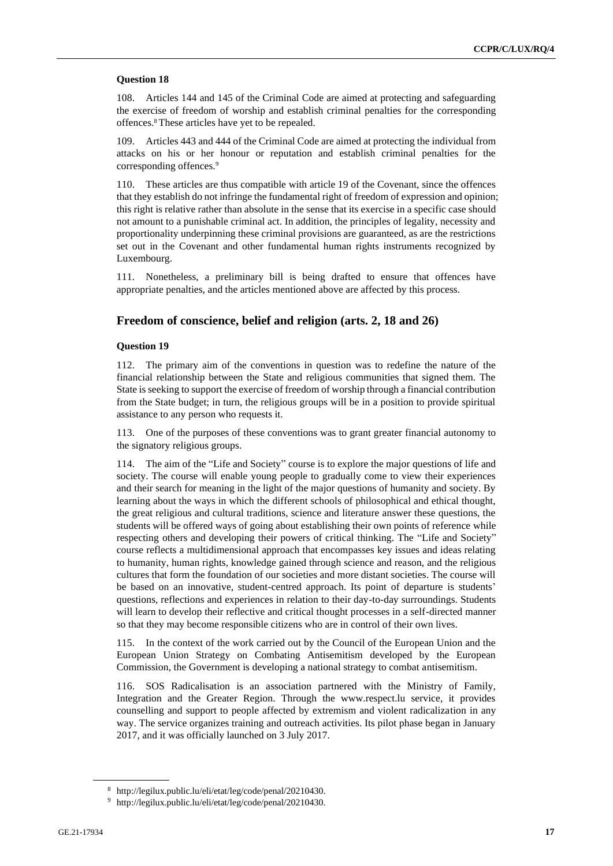#### **Question 18**

108. Articles 144 and 145 of the Criminal Code are aimed at protecting and safeguarding the exercise of freedom of worship and establish criminal penalties for the corresponding offences.<sup>8</sup> These articles have yet to be repealed.

109. Articles 443 and 444 of the Criminal Code are aimed at protecting the individual from attacks on his or her honour or reputation and establish criminal penalties for the corresponding offences.<sup>9</sup>

110. These articles are thus compatible with article 19 of the Covenant, since the offences that they establish do not infringe the fundamental right of freedom of expression and opinion; this right is relative rather than absolute in the sense that its exercise in a specific case should not amount to a punishable criminal act. In addition, the principles of legality, necessity and proportionality underpinning these criminal provisions are guaranteed, as are the restrictions set out in the Covenant and other fundamental human rights instruments recognized by Luxembourg.

111. Nonetheless, a preliminary bill is being drafted to ensure that offences have appropriate penalties, and the articles mentioned above are affected by this process.

## **Freedom of conscience, belief and religion (arts. 2, 18 and 26)**

#### **Question 19**

112. The primary aim of the conventions in question was to redefine the nature of the financial relationship between the State and religious communities that signed them. The State is seeking to support the exercise of freedom of worship through a financial contribution from the State budget; in turn, the religious groups will be in a position to provide spiritual assistance to any person who requests it.

113. One of the purposes of these conventions was to grant greater financial autonomy to the signatory religious groups.

114. The aim of the "Life and Society" course is to explore the major questions of life and society. The course will enable young people to gradually come to view their experiences and their search for meaning in the light of the major questions of humanity and society. By learning about the ways in which the different schools of philosophical and ethical thought, the great religious and cultural traditions, science and literature answer these questions, the students will be offered ways of going about establishing their own points of reference while respecting others and developing their powers of critical thinking. The "Life and Society" course reflects a multidimensional approach that encompasses key issues and ideas relating to humanity, human rights, knowledge gained through science and reason, and the religious cultures that form the foundation of our societies and more distant societies. The course will be based on an innovative, student-centred approach. Its point of departure is students' questions, reflections and experiences in relation to their day-to-day surroundings. Students will learn to develop their reflective and critical thought processes in a self-directed manner so that they may become responsible citizens who are in control of their own lives.

115. In the context of the work carried out by the Council of the European Union and the European Union Strategy on Combating Antisemitism developed by the European Commission, the Government is developing a national strategy to combat antisemitism.

116. SOS Radicalisation is an association partnered with the Ministry of Family, Integration and the Greater Region. Through the www.respect.lu service, it provides counselling and support to people affected by extremism and violent radicalization in any way. The service organizes training and outreach activities. Its pilot phase began in January 2017, and it was officially launched on 3 July 2017.

<sup>8</sup> http://legilux.public.lu/eli/etat/leg/code/penal/20210430.

<sup>9</sup> http://legilux.public.lu/eli/etat/leg/code/penal/20210430.